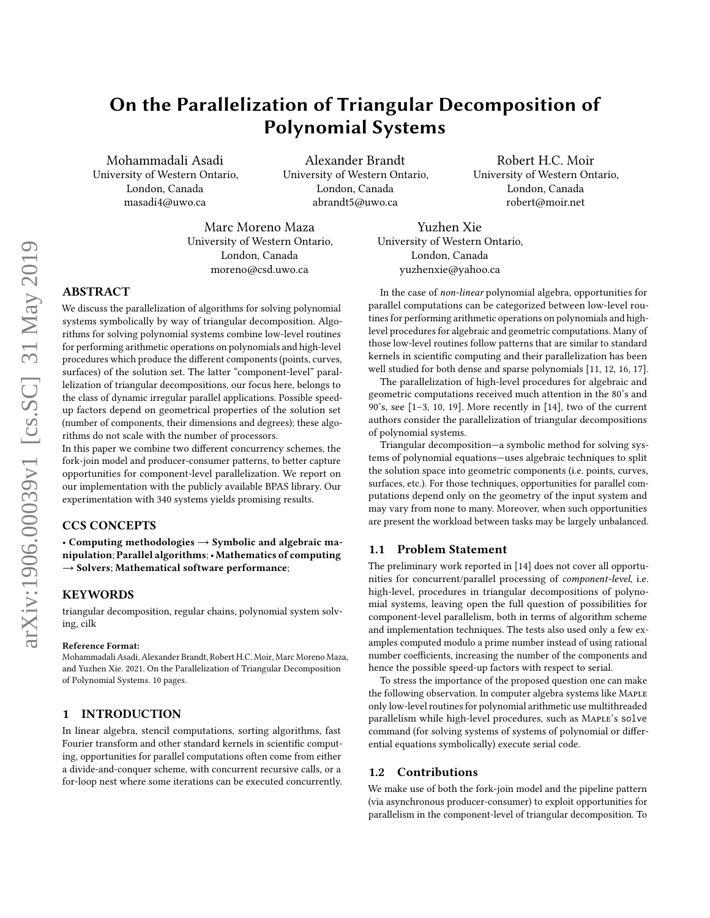# On the Parallelization of Triangular Decomposition of Polynomial Systems

Mohammadali Asadi University of Western Ontario, London, Canada masadi4@uwo.ca

Alexander Brandt University of Western Ontario, London, Canada abrandt5@uwo.ca

Marc Moreno Maza University of Western Ontario, London, Canada moreno@csd.uwo.ca

Robert H.C. Moir University of Western Ontario, London, Canada robert@moir.net

Yuzhen Xie University of Western Ontario, London, Canada yuzhenxie@yahoo.ca

# ABSTRACT

We discuss the parallelization of algorithms for solving polynomial systems symbolically by way of triangular decomposition. Algorithms for solving polynomial systems combine low-level routines for performing arithmetic operations on polynomials and high-level procedures which produce the different components (points, curves, surfaces) of the solution set. The latter "component-level" parallelization of triangular decompositions, our focus here, belongs to the class of dynamic irregular parallel applications. Possible speedup factors depend on geometrical properties of the solution set (number of components, their dimensions and degrees); these algorithms do not scale with the number of processors.

In this paper we combine two different concurrency schemes, the fork-join model and producer-consumer patterns, to better capture opportunities for component-level parallelization. We report on our implementation with the publicly available BPAS library. Our experimentation with 340 systems yields promising results.

# CCS CONCEPTS

• Computing methodologies  $\rightarrow$  Symbolic and algebraic manipulation; Parallel algorithms;• Mathematics of computing  $\rightarrow$  Solvers; Mathematical software performance;

# **KEYWORDS**

triangular decomposition, regular chains, polynomial system solving, cilk

#### Reference Format:

Mohammadali Asadi, Alexander Brandt, Robert H.C. Moir, Marc Moreno Maza, and Yuzhen Xie. 2021. On the Parallelization of Triangular Decomposition of Polynomial Systems. [10](#page-9-0) pages.

# 1 INTRODUCTION

In linear algebra, stencil computations, sorting algorithms, fast Fourier transform and other standard kernels in scientific computing, opportunities for parallel computations often come from either a divide-and-conquer scheme, with concurrent recursive calls, or a for-loop nest where some iterations can be executed concurrently.

In the case of non-linear polynomial algebra, opportunities for parallel computations can be categorized between low-level routines for performing arithmetic operations on polynomials and highlevel procedures for algebraic and geometric computations. Many of those low-level routines follow patterns that are similar to standard kernels in scientific computing and their parallelization has been well studied for both dense and sparse polynomials [\[11,](#page-9-1) [12,](#page-9-2) [16,](#page-9-3) [17\]](#page-9-4).

The parallelization of high-level procedures for algebraic and geometric computations received much attention in the 80's and 90's, see [\[1](#page-9-5)[–3,](#page-9-6) [10,](#page-9-7) [19\]](#page-9-8). More recently in [\[14\]](#page-9-9), two of the current authors consider the parallelization of triangular decompositions of polynomial systems.

Triangular decomposition—a symbolic method for solving systems of polynomial equations—uses algebraic techniques to split the solution space into geometric components (i.e. points, curves, surfaces, etc.). For those techniques, opportunities for parallel computations depend only on the geometry of the input system and may vary from none to many. Moreover, when such opportunities are present the workload between tasks may be largely unbalanced.

#### 1.1 Problem Statement

The preliminary work reported in [\[14\]](#page-9-9) does not cover all opportunities for concurrent/parallel processing of component-level, i.e. high-level, procedures in triangular decompositions of polynomial systems, leaving open the full question of possibilities for component-level parallelism, both in terms of algorithm scheme and implementation techniques. The tests also used only a few examples computed modulo a prime number instead of using rational number coefficients, increasing the number of the components and hence the possible speed-up factors with respect to serial.

To stress the importance of the proposed question one can make the following observation. In computer algebra systems like MAPLE only low-level routines for polynomial arithmetic use multithreaded parallelism while high-level procedures, such as MAPLE's solve command (for solving systems of systems of polynomial or differential equations symbolically) execute serial code.

#### 1.2 Contributions

We make use of both the fork-join model and the pipeline pattern (via asynchronous producer-consumer) to exploit opportunities for parallelism in the component-level of triangular decomposition. To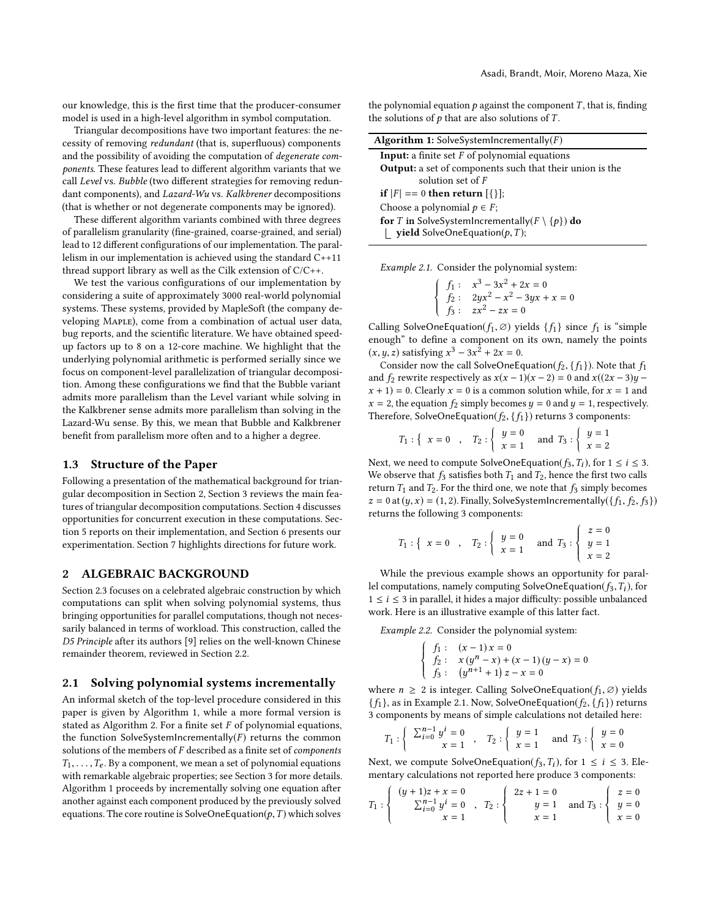our knowledge, this is the first time that the producer-consumer model is used in a high-level algorithm in symbol computation.

Triangular decompositions have two important features: the necessity of removing redundant (that is, superfluous) components and the possibility of avoiding the computation of degenerate components. These features lead to different algorithm variants that we call Level vs. Bubble (two different strategies for removing redundant components), and Lazard-Wu vs. Kalkbrener decompositions (that is whether or not degenerate components may be ignored).

These different algorithm variants combined with three degrees of parallelism granularity (fine-grained, coarse-grained, and serial) lead to 12 different configurations of our implementation. The parallelism in our implementation is achieved using the standard C++11 thread support library as well as the Cilk extension of C/C++.

We test the various configurations of our implementation by considering a suite of approximately 3000 real-world polynomial systems. These systems, provided by MapleSoft (the company developing MAPLE), come from a combination of actual user data, bug reports, and the scientific literature. We have obtained speedup factors up to 8 on a 12-core machine. We highlight that the underlying polynomial arithmetic is performed serially since we focus on component-level parallelization of triangular decomposition. Among these configurations we find that the Bubble variant admits more parallelism than the Level variant while solving in the Kalkbrener sense admits more parallelism than solving in the Lazard-Wu sense. By this, we mean that Bubble and Kalkbrener benefit from parallelism more often and to a higher a degree.

#### 1.3 Structure of the Paper

Following a presentation of the mathematical background for triangular decomposition in Section [2,](#page-1-0) Section [3](#page-3-0) reviews the main features of triangular decomposition computations. Section [4](#page-4-0) discusses opportunities for concurrent execution in these computations. Section [5](#page-6-0) reports on their implementation, and Section [6](#page-7-0) presents our experimentation. Section [7](#page-8-0) highlights directions for future work.

# <span id="page-1-0"></span>2 ALGEBRAIC BACKGROUND

Section [2.3](#page-2-0) focuses on a celebrated algebraic construction by which computations can split when solving polynomial systems, thus bringing opportunities for parallel computations, though not necessarily balanced in terms of workload. This construction, called the D5 Principle after its authors [\[9\]](#page-9-10) relies on the well-known Chinese remainder theorem, reviewed in Section [2.2.](#page-2-1)

#### <span id="page-1-4"></span>2.1 Solving polynomial systems incrementally

An informal sketch of the top-level procedure considered in this paper is given by Algorithm [1,](#page-1-1) while a more formal version is stated as Algorithm [2.](#page-3-1) For a finite set  $F$  of polynomial equations, the function SolveSystemIncrementally( $F$ ) returns the common solutions of the members of F described as a finite set of components  $T_1, \ldots, T_e$ . By a component, we mean a set of polynomial equations with remarkable algebraic properties; see Section [3](#page-3-0) for more details. Algorithm [1](#page-1-1) proceeds by incrementally solving one equation after another against each component produced by the previously solved equations. The core routine is SolveOneEquation( $p, T$ ) which solves

the polynomial equation  $p$  against the component  $T$ , that is, finding the solutions of  $p$  that are also solutions of  $T$ .

<span id="page-1-1"></span>

| <b>Algorithm 1:</b> SolveSystemIncrementally $(F)$                                                                      |
|-------------------------------------------------------------------------------------------------------------------------|
| <b>Input:</b> a finite set $F$ of polynomial equations                                                                  |
| <b>Output:</b> a set of components such that their union is the                                                         |
| solution set of $F$                                                                                                     |
| <b>if</b> $ F  == 0$ then return $[\{\}]$ ;                                                                             |
| Choose a polynomial $p \in F$ ;                                                                                         |
| <b>for</b> T in SolveSystemIncrementally( $F \setminus \{p\}$ ) <b>do</b><br><b>L</b> yield SolveOneEquation( $p, T$ ); |
|                                                                                                                         |

<span id="page-1-2"></span>Example 2.1. Consider the polynomial system:

|  | $\begin{cases}\n f_1: & x^3 - 3x^2 + 2x = 0 \\  f_2: & 2yx^2 - x^2 - 3yx + x = 0 \\  f_3: & zx^2 - zx = 0\n\end{cases}$ |
|--|-------------------------------------------------------------------------------------------------------------------------|
|  | $\ldots$ Figure 1: $(f - \alpha)$ and 1: $(f + \alpha)$ and                                                             |

Calling SolveOneEquation( $f_1, \emptyset$ ) yields  $\{f_1\}$  since  $f_1$  is "simple enough" to define a component on its own namely the points enough" to define a component on its own, namely the points  $(x, y, z)$  satisfying  $x^3 - 3x^2 + 2x = 0$ .<br>Consider now the call SolveOneEe

Consider now the call SolveOneEquation( $f_2$ , { $f_1$ }). Note that  $f_1$ and  $f_2$  rewrite respectively as  $x(x - 1)(x - 2) = 0$  and  $x((2x - 3)y$  $x + 1$  = 0. Clearly  $x = 0$  is a common solution while, for  $x = 1$  and  $x = 2$ , the equation  $f_2$  simply becomes  $y = 0$  and  $y = 1$ , respectively. Therefore, SolveOneEquation( $f_2$ , { $f_1$ }) returns 3 components:

$$
T_1: \left\{ x = 0 \right.\right., \quad T_2: \left\{ y = 0 \right.\right.\right.\left.\left.\begin{array}{c}\n y = 0 \\
 x = 1\n \end{array}\right.\right.\nand  $T_3: \left\{ y = 1 \right.\right.\left.\left.\begin{array}{c}\n y = 1 \\
 x = 2\n \end{array}\right.$
$$

Next, we need to compute SolveOneEquation( $f_3, T_i$ ), for  $1 \le i \le 3$ .<br>We observe that  $f_2$  satisfies both  $T_1$  and  $T_2$  bence the first two calls We observe that  $f_3$  satisfies both  $T_1$  and  $T_2$ , hence the first two calls return  $T_1$  and  $T_2$ . For the third one, we note that  $f_3$  simply becomes  $z = 0$  at  $(y, x) = (1, 2)$ . Finally, SolveSystemIncrementally $(\{f_1, f_2, f_3\})$ returns the following 3 components:

$$
T_1:
$$
 {  $x = 0$  ,  $T_2:$  {  $y = 0$  and  $T_3:$  }  $\begin{cases} z = 0 \\ y = 1 \\ x = 2 \end{cases}$ 

 While the previous example shows an opportunity for parallel computations, namely computing SolveOneEquation( $f_3, T_i$ ), for  $1 \leq i \leq 3$  in parallel, it hides a major difficulty: possible unbalanced work. Here is an illustrative example of this latter fact.

<span id="page-1-3"></span>Example 2.2. Consider the polynomial system:

$$
\begin{cases}\nf_1: (x-1)x = 0 \\
f_2: x(y^n - x) + (x - 1)(y - x) = 0 \\
f_3: (y^{n+1} + 1)z - x = 0\n\end{cases}
$$

where  $n \geq 2$  is integer. Calling SolveOneEquation( $f_1$ , ∅) yields<br> $f_1$ , as in Example 2.1. Now, SolveOneEquation( $f_2$ ,  $f_3$ ) returns  ${f_1}$ , as in Example [2.1.](#page-1-2) Now, SolveOneEquation( $f_2$ ,  ${f_1}$ ) returns 3 components by means of simple calculations not detailed here:

$$
T_1: \left\{\n\begin{array}{c}\n\Sigma_{i=0}^{n-1} y^i = 0 \\
x = 1\n\end{array}\n\right.,\n\quad\nT_2: \left\{\n\begin{array}{c}\ny = 1 \\
x = 1\n\end{array}\n\right.\n\text{ and }\nT_3: \left\{\n\begin{array}{c}\ny = 0 \\
x = 0\n\end{array}\n\right.
$$

Next, we compute SolveOneEquation( $f_3, T_i$ ), for  $1 \le i \le 3$ . Ele-<br>mentary calculations not reported here produce 3 components: mentary calculations not reported here produce 3 components:

$$
T_1: \left\{\begin{array}{c} (y+1)z + x = 0 \\ \sum_{i=0}^{n-1} y^i = 0 \\ x = 1 \end{array}\right., \quad T_2: \left\{\begin{array}{c} 2z + 1 = 0 \\ y = 1 \\ x = 1 \end{array}\right. \text{ and } T_3: \left\{\begin{array}{c} z = 0 \\ y = 0 \\ x = 0 \end{array}\right.
$$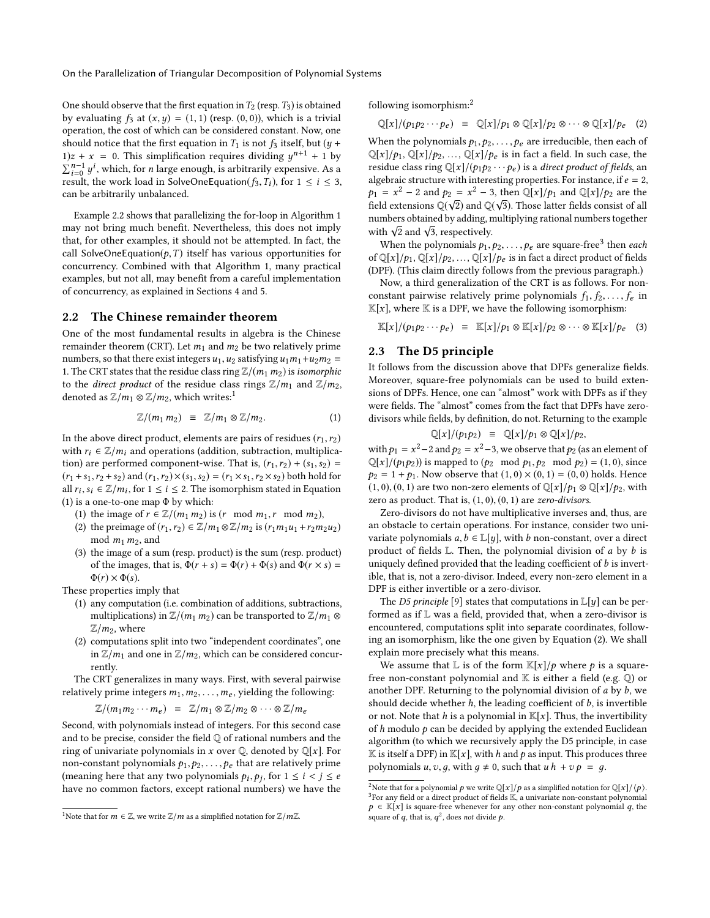On the Parallelization of Triangular Decomposition of Polynomial Systems

One should observe that the first equation in  $T_2$  (resp.  $T_3$ ) is obtained by evaluating  $f_3$  at  $(x, y) = (1, 1)$  (resp.  $(0, 0)$ ), which is a trivial operation, the cost of which can be considered constant. Now, one should notice that the first equation in  $T_1$  is not  $f_3$  itself, but (y +  $1/z + x = 0$ . This simplification requires dividing  $y^{n+1} + 1$  by  $\nabla^{n-1} u^i$  which for n large enough is arbitrarily expensive. As a  $\sum_{i=0}^{n-1} y^i$ , which, for *n* large enough, is arbitrarily expensive. As a result the work load in SolveOneFaustion(f, T.) for  $1 \le i \le 3$  $\Delta_{i=0}$  y, which, for *h* large enough, is abilitally expensive. As a<br>result, the work load in SolveOneEquation( $f_3, T_i$ ), for  $1 \le i \le 3$ ,<br>can be arbitrarily unbalanced can be arbitrarily unbalanced.

Example [2.2](#page-1-3) shows that parallelizing the for-loop in Algorithm [1](#page-1-1) may not bring much benefit. Nevertheless, this does not imply that, for other examples, it should not be attempted. In fact, the call SolveOneEquation( $p, T$ ) itself has various opportunities for concurrency. Combined with that Algorithm [1,](#page-1-1) many practical examples, but not all, may benefit from a careful implementation of concurrency, as explained in Sections [4](#page-4-0) and [5.](#page-6-0)

#### <span id="page-2-1"></span>2.2 The Chinese remainder theorem

One of the most fundamental results in algebra is the Chinese remainder theorem (CRT). Let  $m_1$  and  $m_2$  be two relatively prime numbers, so that there exist integers  $u_1, u_2$  satisfying  $u_1m_1+u_2m_2 =$ 1. The CRT states that the residue class ring  $\mathbb{Z}/(m_1 m_2)$  is *isomorphic* to the *direct product* of the residue class rings  $\mathbb{Z}/m_1$  and  $\mathbb{Z}/m_2$ , denoted as  $\mathbb{Z}/m_1 \otimes \mathbb{Z}/m_2$  $\mathbb{Z}/m_1 \otimes \mathbb{Z}/m_2$  $\mathbb{Z}/m_1 \otimes \mathbb{Z}/m_2$ , which writes:<sup>1</sup>

$$
\mathbb{Z}/(m_1 m_2) \equiv \mathbb{Z}/m_1 \otimes \mathbb{Z}/m_2. \qquad (1)
$$

In the above direct product, elements are pairs of residues  $(r_1, r_2)$ with  $r_i \in \mathbb{Z}/m_i$  and operations (addition, subtraction, multiplication) are performed component-wise. That is,  $(r_1, r_2) + (s_1, s_2) =$  $(r_1 + s_1, r_2 + s_2)$  and  $(r_1, r_2) \times (s_1, s_2) = (r_1 \times s_1, r_2 \times s_2)$  both hold for all  $r_i$ ,  $s_i \in \mathbb{Z}/m_i$ , for  $1 \le i \le 2$ . The isomorphism stated in Equation (1) is a one-to-one man  $\Phi$  by which [\(1\)](#page-2-3) is a one-to-one map  $\Phi$  by which:

- (1) the image of  $r \in \mathbb{Z}/(m_1 m_2)$  is  $(r \mod m_1, r \mod m_2)$ ,
- (2) the preimage of  $(r_1, r_2) \in \mathbb{Z}/m_1 \otimes \mathbb{Z}/m_2$  is  $(r_1m_1u_1 + r_2m_2u_2)$ mod  $m_1 m_2$ , and
- (3) the image of a sum (resp. product) is the sum (resp. product) of the images, that is,  $\Phi(r + s) = \Phi(r) + \Phi(s)$  and  $\Phi(r \times s) =$  $\Phi(r) \times \Phi(s)$ .

These properties imply that

- (1) any computation (i.e. combination of additions, subtractions, multiplications) in  $\mathbb{Z}/(m_1 m_2)$  can be transported to  $\mathbb{Z}/m_1 \otimes$  $\mathbb{Z}/m_2$ , where
- (2) computations split into two "independent coordinates", one in  $\mathbb{Z}/m_1$  and one in  $\mathbb{Z}/m_2$ , which can be considered concurrently.

The CRT generalizes in many ways. First, with several pairwise relatively prime integers  $m_1, m_2, \ldots, m_e$ , yielding the following:

$$
\mathbb{Z}/(m_1 m_2 \cdots m_e) \equiv \mathbb{Z}/m_1 \otimes \mathbb{Z}/m_2 \otimes \cdots \otimes \mathbb{Z}/m_e
$$

 $\mathbb{Z}/(m_1 m_2 \cdots m_e) \equiv \mathbb{Z}/m_1 \otimes \mathbb{Z}/m_2 \otimes \cdots \otimes \mathbb{Z}/m_e$ <br>Second, with polynomials instead of integers. For this second case and to be precise, consider the field Q of rational numbers and the ring of univariate polynomials in x over  $\mathbb Q$ , denoted by  $\mathbb Q[x]$ . For non-constant polynomials  $p_1, p_2, \ldots, p_e$  that are relatively prime (meaning here that any two polynomials  $p_i, p_j$ , for  $1 \le i < j \le e$ <br>have no common factors, except rational numbers) we have the have no common factors, except rational numbers) we have the following isomorphism:[2](#page-2-4)

<span id="page-2-6"></span>
$$
\mathbb{Q}[x]/(p_1p_2\cdots p_e) \equiv \mathbb{Q}[x]/p_1 \otimes \mathbb{Q}[x]/p_2 \otimes \cdots \otimes \mathbb{Q}[x]/p_e \quad (2)
$$

When the polynomials  $p_1, p_2, \ldots, p_e$  are irreducible, then each of  $\mathbb{Q}[x]/p_1$ ,  $\mathbb{Q}[x]/p_2$ , ...,  $\mathbb{Q}[x]/p_e$  is in fact a field. In such case, the residue class ring  $\mathbb{Q}[x]/(p_1p_2\cdots p_e)$  is a *direct product of fields*, an algebraic structure with interesting properties. For instance, if  $e = 2$ ,  $p_1 = x^2 - 2$  and  $p_2 = x^2 - 3$ , then  $\mathbb{Q}[x]/p_1$  and  $\mathbb{Q}[x]/p_2$  are the field extensions  $\mathbb{Q}(x/2)$  and  $\mathbb{Q}(x/3)$ . These letter fields consist of all field extensions  $\mathbb{Q}(\sqrt{2})$  and  $\mathbb{Q}(\sqrt{3})$ . Those latter fields consist of all numbers obtained by adding, multiplying rational numbers together numbers obtained by adding, n<br>with  $\sqrt{2}$  and  $\sqrt{3}$ , respectively.

When the polynomials  $p_1, p_2, \ldots, p_e$  are square-free<sup>[3](#page-2-5)</sup> then each  $\mathbb{C}[x]/p_1$  is in fact a direct product of fields of  $\mathbb{Q}[x]/p_1$ ,  $\mathbb{Q}[x]/p_2$ , ...,  $\mathbb{Q}[x]/p_e$  is in fact a direct product of fields (DPF). (This claim directly follows from the previous paragraph.)

Now, a third generalization of the CRT is as follows. For nonconstant pairwise relatively prime polynomials  $f_1, f_2, \ldots, f_e$  in  $\mathbb{K}[x]$ , where  $\mathbb K$  is a DPF, we have the following isomorphism:

$$
\mathbb{K}[x]/(p_1p_2\cdots p_e) \equiv \mathbb{K}[x]/p_1 \otimes \mathbb{K}[x]/p_2 \otimes \cdots \otimes \mathbb{K}[x]/p_e \quad (3)
$$

# <span id="page-2-0"></span>2.3 The D5 principle

It follows from the discussion above that DPFs generalize fields. Moreover, square-free polynomials can be used to build extensions of DPFs. Hence, one can "almost" work with DPFs as if they were fields. The "almost" comes from the fact that DPFs have zerodivisors while fields, by definition, do not. Returning to the example

$$
\mathbb{Q}[x]/(p_1p_2) \equiv \mathbb{Q}[x]/p_1 \otimes \mathbb{Q}[x]/p_2,
$$

<span id="page-2-3"></span>with  $p_1 = x^2 - 2$  and  $p_2 = x^2 - 3$ , we observe that  $p_2$  (as an element of  $\mathbb{C}[x]/(p_1, p_2)$ ) is manned to  $(p_2, \text{ mod } p_1, p_2, \text{ mod } p_2) = (1, 0)$  since  $\mathbb{Q}[x]/(p_1p_2)$  is mapped to  $(p_2 \mod p_1, p_2 \mod p_2) = (1, 0)$ , since  $p_2 = 1 + p_1$ . Now observe that  $(1, 0) \times (0, 1) = (0, 0)$  holds. Hence  $(1, 0), (0, 1)$  are two non-zero elements of  $\mathbb{Q}[x]/p_1 \otimes \mathbb{Q}[x]/p_2$ , with zero as product. That is,  $(1, 0)$ ,  $(0, 1)$  are zero-divisors.

Zero-divisors do not have multiplicative inverses and, thus, are an obstacle to certain operations. For instance, consider two univariate polynomials  $a, b \in \mathbb{L}[y]$ , with b non-constant, over a direct product of fields <sup>L</sup>. Then, the polynomial division of a by b is uniquely defined provided that the leading coefficient of  $b$  is invertible, that is, not a zero-divisor. Indeed, every non-zero element in a DPF is either invertible or a zero-divisor.

The D5 principle [\[9\]](#page-9-10) states that computations in  $\mathbb{L}[y]$  can be performed as if L was a field, provided that, when a zero-divisor is encountered, computations split into separate coordinates, following an isomorphism, like the one given by Equation [\(2\)](#page-2-6). We shall explain more precisely what this means.

We assume that  $\mathbb{L}$  is of the form  $\mathbb{K}[x]/p$  where p is a squarefree non-constant polynomial and  $K$  is either a field (e.g.  $\mathbb Q$ ) or another DPF. Returning to the polynomial division of  $a$  by  $b$ , we should decide whether  $h$ , the leading coefficient of  $b$ , is invertible or not. Note that h is a polynomial in  $\mathbb{K}[x]$ . Thus, the invertibility of  $h$  modulo  $p$  can be decided by applying the extended Euclidean algorithm (to which we recursively apply the D5 principle, in case  $\mathbb K$  is itself a DPF) in  $\mathbb K[x]$ , with h and p as input. This produces three polynomials  $u, v, g$ , with  $g \neq 0$ , such that  $u h + v p = g$ .

<span id="page-2-2"></span><sup>&</sup>lt;sup>1</sup>Note that for  $m \in \mathbb{Z}$ , we write  $\mathbb{Z}/m$  as a simplified notation for  $\mathbb{Z}/m\mathbb{Z}$ .

<span id="page-2-5"></span><span id="page-2-4"></span><sup>&</sup>lt;sup>2</sup>Note that for a polynomial  $p$  we write  $\mathbb{Q}[x]/p$  as a simplified notation for  $\mathbb{Q}[x]/\langle p \rangle$ . <sup>3</sup>For any field or a direct product of fields **K**, a univariate non-constant polynomial  $p \in \mathbb{K}[x]$  is square-free whenever for any other non-constant polynomial q, the square of  $q$ , that is,  $q^2$ , does not divide  $p$ .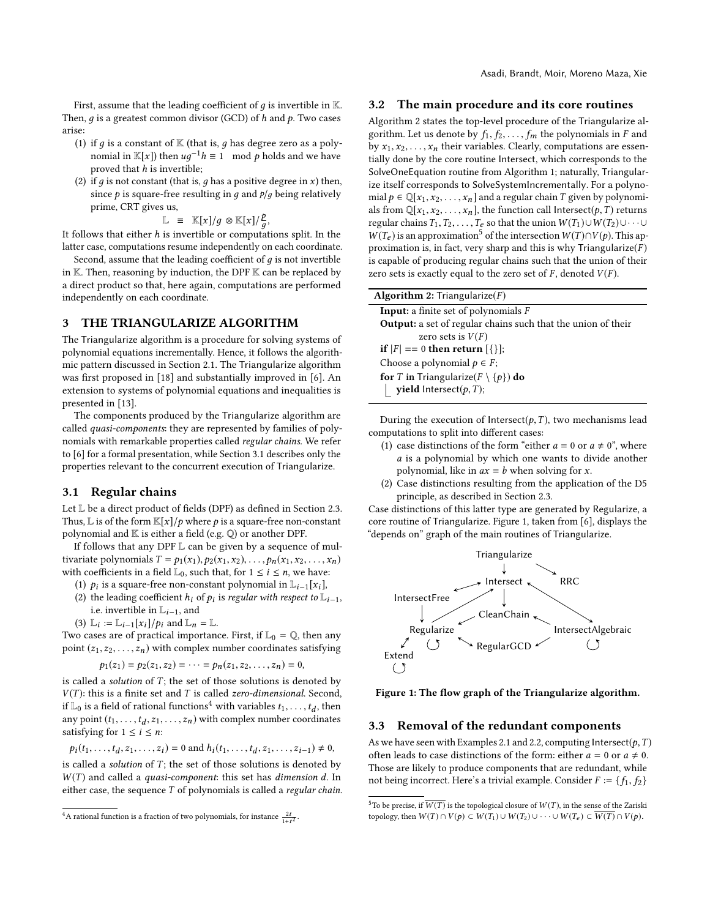First, assume that the leading coefficient of  $g$  is invertible in  $K$ . Then,  $q$  is a greatest common divisor (GCD) of  $h$  and  $p$ . Two cases arise:

- (1) if q is a constant of  $K$  (that is, q has degree zero as a polynomial in K[x]) then  $ug^{-1}h \equiv 1 \mod p$  holds and we have<br>proved that h is invertible. proved that  $h$  is invertible;
- (2) if  $g$  is not constant (that is,  $g$  has a positive degree in  $x$ ) then, since  $p$  is square-free resulting in  $q$  and  $p/q$  being relatively prime, CRT gives us,

$$
\mathbb{L} \equiv \mathbb{K}[x]/g \otimes \mathbb{K}[x]/\frac{p}{a},
$$

 $\mathbb{L} \equiv \mathbb{K}[x]/g \otimes \mathbb{K}[x]/\frac{p}{g}$ ,<br>It follows that either *h* is invertible or computations split. In the latter case, computations resume independently on each coordinate.

Second, assume that the leading coefficient of  $q$  is not invertible in  $K$ . Then, reasoning by induction, the DPF  $K$  can be replaced by a direct product so that, here again, computations are performed independently on each coordinate.

## <span id="page-3-0"></span>3 THE TRIANGULARIZE ALGORITHM

The Triangularize algorithm is a procedure for solving systems of polynomial equations incrementally. Hence, it follows the algorithmic pattern discussed in Section [2.1.](#page-1-4) The Triangularize algorithm was first proposed in [\[18\]](#page-9-11) and substantially improved in [\[6\]](#page-9-12). An extension to systems of polynomial equations and inequalities is presented in [\[13\]](#page-9-13).

The components produced by the Triangularize algorithm are called quasi-components: they are represented by families of polynomials with remarkable properties called regular chains. We refer to [\[6\]](#page-9-12) for a formal presentation, while Section [3.1](#page-3-2) describes only the properties relevant to the concurrent execution of Triangularize.

#### <span id="page-3-2"></span>3.1 Regular chains

Let L be a direct product of fields (DPF) as defined in Section [2.3.](#page-2-0) Thus, L is of the form  $\mathbb{K}[x]/p$  where p is a square-free non-constant polynomial and K is either a field (e.g. Q) or another DPF.

If follows that any DPF L can be given by a sequence of multivariate polynomials  $T = p_1(x_1), p_2(x_1, x_2), \ldots, p_n(x_1, x_2, \ldots, x_n)$ with coefficients in a field  $\mathbb{L}_0$ , such that, for  $1 \le i \le n$ , we have:

- (1)  $p_i$  is a square-free non-constant polynomial in  $\mathbb{L}_{i-1}[x_i]$ ,<br>(2) the leading coefficient h, of n, is regular with respect to  $\mathbb{L}$
- (2) the leading coefficient  $h_i$  of  $p_i$  is regular with respect to  $\mathbb{L}_{i-1}$ , i.e. invertible in  $\mathbb{I}_{i}$ , and i.e. invertible in  $\mathbb{L}_{i-1},$  and
- (3)  $\mathbb{L}_i := \mathbb{L}_{i-1}[x_i]/p_i$  and  $\mathbb{L}_n = \mathbb{L}$ .

Two cases are of practical importance. First, if  $\mathbb{L}_0 = \mathbb{Q}$ , then any point  $(z_1, z_2, \ldots, z_n)$  with complex number coordinates satisfying

$$
p_1(z_1) = p_2(z_1, z_2) = \cdots = p_n(z_1, z_2, \ldots, z_n) = 0,
$$

is called a *solution* of T; the set of those solutions is denoted by  $V(T)$ : this is a finite set and T is called *zero-dimensional*. Second  $V(T)$ : this is a finite set and T is called zero-dimensional. Second, if  $\mathbb{L}_0$  is a field of rational functions<sup>[4](#page-3-3)</sup> with variables  $t_1, \ldots, t_d$ , then<br>any point  $(t_1, \ldots, t_d, z_1, \ldots, z_d)$  with complex number coordinates any point  $(t_1, \ldots, t_d, z_1, \ldots, z_n)$  with complex number coordinates estisfying for  $1 \le i \le n$ . satisfying for  $1\leq i\leq n$ :

$$
p_i(t_1,...,t_d,z_1,...,z_i) = 0
$$
 and  $h_i(t_1,...,t_d,z_1,...,z_{i-1}) \neq 0$ ,

is called a *solution* of T; the set of those solutions is denoted by  $W(T)$  and called a *quasi-component* this set has *dimension* d. In  $W(T)$  and called a *quasi-component*: this set has *dimension d*. In either case, the sequence  $T$  of polynomials is called a *regular chain*.

#### 3.2 The main procedure and its core routines

Algorithm [2](#page-3-1) states the top-level procedure of the Triangularize algorithm. Let us denote by  $f_1, f_2, \ldots, f_m$  the polynomials in F and by  $x_1, x_2, \ldots, x_n$  their variables. Clearly, computations are essentially done by the core routine Intersect, which corresponds to the SolveOneEquation routine from Algorithm [1;](#page-1-1) naturally, Triangularize itself corresponds to SolveSystemIncrementally. For a polynomial  $p \in \mathbb{Q}[x_1, x_2, \ldots, x_n]$  and a regular chain T given by polynomials from  $\mathbb{Q}[x_1, x_2, \ldots, x_n]$ , the function call Intersect $(p, T)$  returns regular chains  $T_1, T_2, \ldots, T_e$  so that the union  $W(T_1) \cup W(T_2) \cup \cdots \cup$  $W(T_e)$  is an approximation<sup>[5](#page-3-4)</sup> of the intersection  $W(T) \cap V(p)$ . This approximation is, in fact, very sharp and this is why Triangularize $(F)$ is capable of producing regular chains such that the union of their zero sets is exactly equal to the zero set of  $F$ , denoted  $V(F)$ .

<span id="page-3-1"></span>

| <b>Algorithm 2:</b> Triangularize $(F)$                             |
|---------------------------------------------------------------------|
| <b>Input:</b> a finite set of polynomials $F$                       |
| <b>Output:</b> a set of regular chains such that the union of their |
| zero sets is $V(F)$                                                 |
| <b>if</b> $ F  == 0$ then return $[\{\}]$ ;                         |
| Choose a polynomial $p \in F$ ;                                     |
| <b>for</b> T in Triangularize( $F \setminus \{p\}$ ) <b>do</b>      |
| <b>yield</b> Intersect( $p$ , $T$ );                                |

During the execution of Intersect $(p, T)$ , two mechanisms lead computations to split into different cases:

- (1) case distinctions of the form "either  $a = 0$  or  $a \neq 0$ ", where a is a polynomial by which one wants to divide another polynomial, like in  $ax = b$  when solving for x.
- (2) Case distinctions resulting from the application of the D5 principle, as described in Section [2.3.](#page-2-0)

Case distinctions of this latter type are generated by Regularize, a core routine of Triangularize. Figure [1,](#page-3-5) taken from [\[6\]](#page-9-12), displays the "depends on" graph of the main routines of Triangularize.

<span id="page-3-5"></span>

Figure 1: The flow graph of the Triangularize algorithm.

#### <span id="page-3-6"></span>3.3 Removal of the redundant components

As we have seen with Examples [2.1](#page-1-2) and [2.2,](#page-1-3) computing Intersect( $p, T$ ) often leads to case distinctions of the form: either  $a = 0$  or  $a \neq 0$ . Those are likely to produce components that are redundant, while not being incorrect. Here's a trivial example. Consider  $F := \{f_1, f_2\}$ 

<span id="page-3-3"></span><sup>&</sup>lt;sup>4</sup>A rational function is a fraction of two polynomials, for instance  $\frac{2t}{1+t^2}$ .

<span id="page-3-4"></span><sup>&</sup>lt;sup>5</sup>To be precise, if  $\overline{W(T)}$  is the topological closure of  $W(T)$ , in the sense of the Zariski topology, then  $W(T) \cap V(p) \subset W(T_1) \cup W(T_2) \cup \cdots \cup W(T_e) \subset \overline{W(T)} \cap V(p)$ .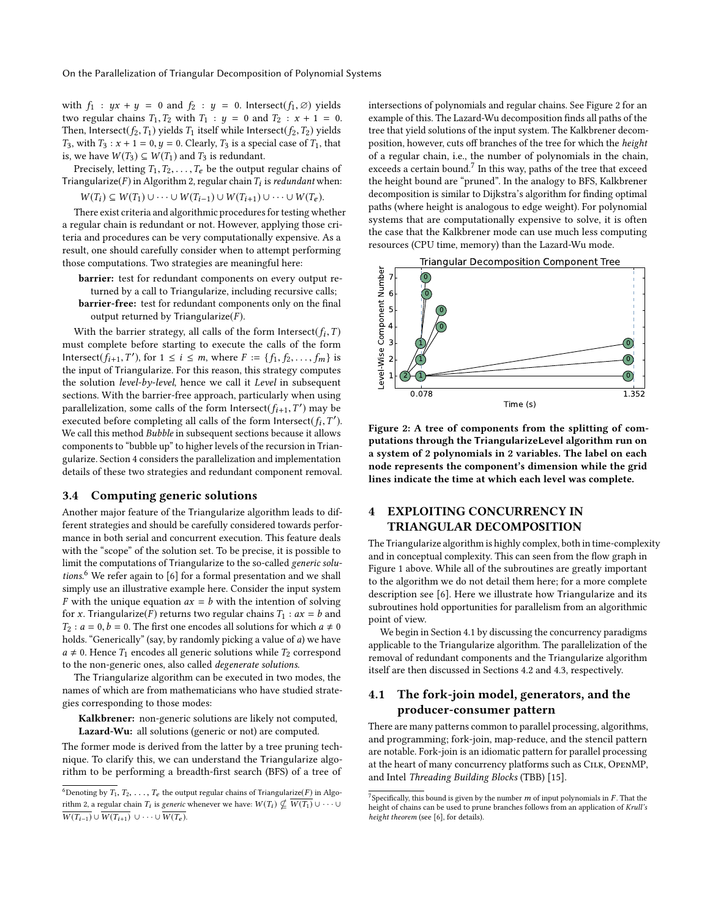with  $f_1$  :  $yx + y = 0$  and  $f_2$  :  $y = 0$ . Intersect( $f_1, \emptyset$ ) yields two regular chains  $T_1, T_2$  with  $T_1 : y = 0$  and  $T_2 : x + 1 = 0$ . Then, Intersect( $f_2, T_1$ ) yields  $T_1$  itself while Intersect( $f_2, T_2$ ) yields  $T_3$ , with  $T_3$ :  $x + 1 = 0$ ,  $y = 0$ . Clearly,  $T_3$  is a special case of  $T_1$ , that is, we have  $W(T_3) \subseteq W(T_1)$  and  $T_3$  is redundant.

Precisely, letting  $T_1, T_2, \ldots, T_e$  be the output regular chains of Triangularize(*F*) in Algorithm [2,](#page-3-1) regular chain  $T_i$  is *redundant* when:<br> $\mathbf{W}(T) = \mathbf{W}(T) \cup \mathbf{W}(T) \cup \mathbf{W}(T)$  $W(T_i) \subseteq W(T_1) \cup \cdots \cup W(T_{i-1}) \cup W(T_{i+1}) \cup \cdots \cup W(T_e).$ 

There exist criteria and algorithmic procedures for testing whether a regular chain is redundant or not. However, applying those criteria and procedures can be very computationally expensive. As a result, one should carefully consider when to attempt performing those computations. Two strategies are meaningful here:

barrier: test for redundant components on every output returned by a call to Triangularize, including recursive calls; barrier-free: test for redundant components only on the final output returned by Triangularize $(F)$ .

With the barrier strategy, all calls of the form Intersect( $f_i$ ,  $T$ ) and complete before starting to execute the calls of the form must complete before starting to execute the calls of the form Intersect( $\hat{f}_{i+1}, T'$ ), for  $1 \le i \le m$ , where  $F := \{f_1, f_2, \ldots, f_m\}$  is the input of Triangularize. For this reason, this strategy computes the input of Triangularize. For this reason, this strategy computes the solution level-by-level, hence we call it Level in subsequent sections. With the barrier-free approach, particularly when using parallelization, some calls of the form Intersect( $f_{i+1}, T'$ ) may be<br>executed before completing all calls of the form Intersect( $f, T'$ ) Executed before completing all calls of the form Intersect( $f_i, T'$ ).<br>We call this method *Bubble* in subsequent sections because it allows we call this method *Bubble* in subsequent sections because it allows components to "bubble up" to higher levels of the recursion in Triangularize. Section [4](#page-4-0) considers the parallelization and implementation details of these two strategies and redundant component removal.

## 3.4 Computing generic solutions

Another major feature of the Triangularize algorithm leads to different strategies and should be carefully considered towards performance in both serial and concurrent execution. This feature deals with the "scope" of the solution set. To be precise, it is possible to limit the computations of Triangularize to the so-called generic solutions. [6](#page-4-1) We refer again to [\[6\]](#page-9-12) for a formal presentation and we shall simply use an illustrative example here. Consider the input system F with the unique equation  $ax = b$  with the intention of solving for x. Triangularize(F) returns two regular chains  $T_1 : ax = b$  and  $T_2$ :  $a = 0, b = 0$ . The first one encodes all solutions for which  $a \neq 0$ holds. "Generically" (say, by randomly picking a value of a) we have  $a \neq 0$ . Hence  $T_1$  encodes all generic solutions while  $T_2$  correspond to the non-generic ones, also called degenerate solutions.

The Triangularize algorithm can be executed in two modes, the names of which are from mathematicians who have studied strategies corresponding to those modes:

Kalkbrener: non-generic solutions are likely not computed, Lazard-Wu: all solutions (generic or not) are computed.

The former mode is derived from the latter by a tree pruning technique. To clarify this, we can understand the Triangularize algorithm to be performing a breadth-first search (BFS) of a tree of

intersections of polynomials and regular chains. See Figure [2](#page-4-2) for an example of this. The Lazard-Wu decomposition finds all paths of the tree that yield solutions of the input system. The Kalkbrener decomposition, however, cuts off branches of the tree for which the height of a regular chain, i.e., the number of polynomials in the chain, exceeds a certain bound.<sup>[7](#page-4-3)</sup> In this way, paths of the tree that exceed the height bound are "pruned". In the analogy to BFS, Kalkbrener decomposition is similar to Dijkstra's algorithm for finding optimal paths (where height is analogous to edge weight). For polynomial systems that are computationally expensive to solve, it is often the case that the Kalkbrener mode can use much less computing resources (CPU time, memory) than the Lazard-Wu mode.

<span id="page-4-2"></span>

Figure 2: A tree of components from the splitting of computations through the TriangularizeLevel algorithm run on a system of 2 polynomials in 2 variables. The label on each node represents the component's dimension while the grid lines indicate the time at which each level was complete.

# <span id="page-4-0"></span>4 EXPLOITING CONCURRENCY IN TRIANGULAR DECOMPOSITION

The Triangularize algorithm is highly complex, both in time-complexity and in conceptual complexity. This can seen from the flow graph in Figure [1](#page-3-5) above. While all of the subroutines are greatly important to the algorithm we do not detail them here; for a more complete description see [\[6\]](#page-9-12). Here we illustrate how Triangularize and its subroutines hold opportunities for parallelism from an algorithmic point of view.

We begin in Section [4.1](#page-4-4) by discussing the concurrency paradigms applicable to the Triangularize algorithm. The parallelization of the removal of redundant components and the Triangularize algorithm itself are then discussed in Sections [4.2](#page-5-0) and [4.3,](#page-5-1) respectively.

# <span id="page-4-4"></span>4.1 The fork-join model, generators, and the producer-consumer pattern

There are many patterns common to parallel processing, algorithms, and programming; fork-join, map-reduce, and the stencil pattern are notable. Fork-join is an idiomatic pattern for parallel processing at the heart of many concurrency platforms such as Cilk, OpenMP, and Intel Threading Building Blocks (TBB) [\[15\]](#page-9-14).

<span id="page-4-1"></span><sup>&</sup>lt;sup>6</sup>Denoting by  $T_1, T_2, \ldots, T_e$  the output regular chains of Triangularize(F) in Algo-rithm [2,](#page-3-1) a regular chain  $T_i$  is *generic* whenever we have:  $W(T_i) \nsubseteq \overline{W(T_1)} \cup \cdots \cup \overline{W(T_n)}$  $\overline{W(T_{i-1})} \cup \overline{W(T_{i+1})} \cup \cdots \cup \overline{W(T_e)}$ .

<span id="page-4-3"></span><sup>&</sup>lt;sup>7</sup>Specifically, this bound is given by the number  $m$  of input polynomials in  $F$ . That the height of chains can be used to prune branches follows from an application of Krull's height of chains can be used to prune branches follows from an application of Krull's height theorem (see [\[6\]](#page-9-12), for details).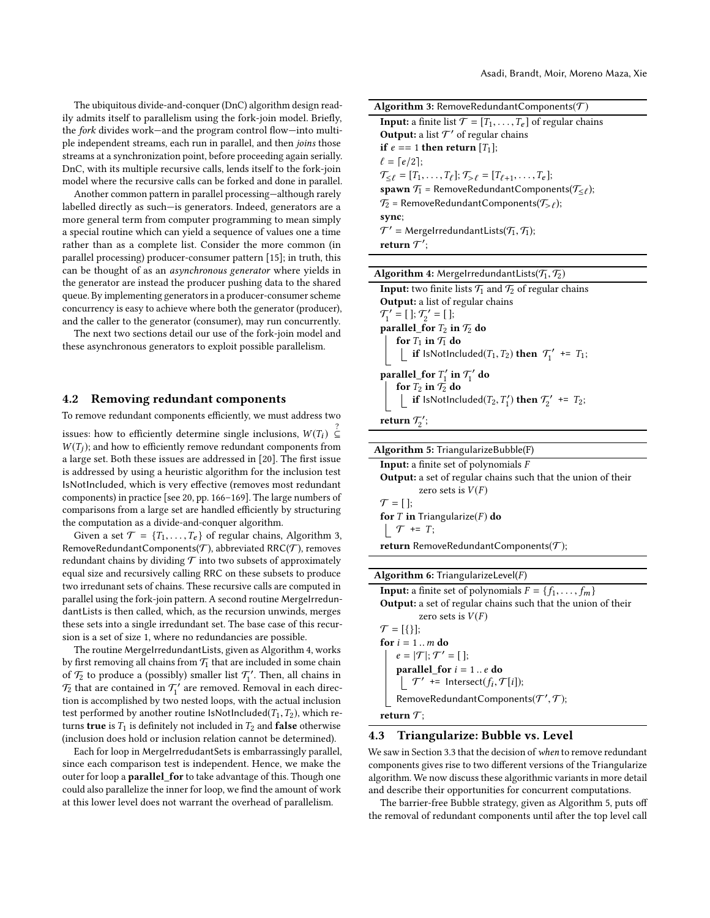The ubiquitous divide-and-conquer (DnC) algorithm design readily admits itself to parallelism using the fork-join model. Briefly, the fork divides work—and the program control flow—into multiple independent streams, each run in parallel, and then joins those streams at a synchronization point, before proceeding again serially. DnC, with its multiple recursive calls, lends itself to the fork-join model where the recursive calls can be forked and done in parallel.

Another common pattern in parallel processing—although rarely labelled directly as such—is generators. Indeed, generators are a more general term from computer programming to mean simply a special routine which can yield a sequence of values one a time rather than as a complete list. Consider the more common (in parallel processing) producer-consumer pattern [\[15\]](#page-9-14); in truth, this can be thought of as an asynchronous generator where yields in the generator are instead the producer pushing data to the shared queue. By implementing generators in a producer-consumer scheme concurrency is easy to achieve where both the generator (producer), and the caller to the generator (consumer), may run concurrently.

The next two sections detail our use of the fork-join model and these asynchronous generators to exploit possible parallelism.

#### <span id="page-5-0"></span>4.2 Removing redundant components

To remove redundant components efficiently, we must address two issues: how to efficiently determine single inclusions,  $W(T_i) \subseteq W(T_i)$ ; and how to efficiently remove redundant components from  $W(T_i)$ ; and how to efficiently remove redundant components from a large set. Both these issues are addressed in [\[20\]](#page-9-15). The first issue is addressed by using a heuristic algorithm for the inclusion test IsNotIncluded, which is very effective (removes most redundant components) in practice [see [20,](#page-9-15) pp. 166–169]. The large numbers of comparisons from a large set are handled efficiently by structuring the computation as a divide-and-conquer algorithm.

Given a set  $\mathcal{T} = \{T_1, \ldots, T_e\}$  of regular chains, Algorithm [3,](#page-5-2) RemoveRedundantComponents( $\mathcal T$ ), abbreviated RRC( $\mathcal T$ ), removes redundant chains by dividing  $\mathcal T$  into two subsets of approximately equal size and recursively calling RRC on these subsets to produce two irredunant sets of chains. These recursive calls are computed in parallel using the fork-join pattern. A second routine MergeIrredundantLists is then called, which, as the recursion unwinds, merges these sets into a single irredundant set. The base case of this recursion is a set of size 1, where no redundancies are possible.

The routine MergeIrredundantLists, given as Algorithm [4,](#page-5-3) works by first removing all chains from  $\mathcal{T}_1$  that are included in some chain of  $\mathcal{T}_2$  to produce a (possibly) smaller list  $\mathcal{T}'_1$ . Then, all chains in  $\mathcal{T}_2$  that are contained in  $\mathcal{T}'_1$  are removed. Removal in each direction is accomplished by two nested loops, with the actual inclusion test performed by another routine IsNotIncluded( $T_1, T_2$ ), which returns true is  $T_1$  is definitely not included in  $T_2$  and false otherwise (inclusion does hold or inclusion relation cannot be determined).

Each for loop in MergeIrredudantSets is embarrassingly parallel, since each comparison test is independent. Hence, we make the outer for loop a parallel\_for to take advantage of this. Though one could also parallelize the inner for loop, we find the amount of work at this lower level does not warrant the overhead of parallelism.

<span id="page-5-2"></span>

| <b>Algorithm 3:</b> RemoveRedundantComponents( $\mathcal{T}$ )                                              |
|-------------------------------------------------------------------------------------------------------------|
| <b>Input:</b> a finite list $\mathcal{T} = [T_1, \ldots, T_e]$ of regular chains                            |
| <b>Output:</b> a list $\mathcal{T}'$ of regular chains                                                      |
| if $e == 1$ then return [T <sub>1</sub> ];                                                                  |
| $\ell = [e/2];$                                                                                             |
| $\mathcal{T}_{\leq \ell} = [T_1, \ldots, T_{\ell}]; \mathcal{T}_{> \ell} = [T_{\ell+1}, \ldots, T_{\ell}];$ |
| spawn $\mathcal{T}_1$ = RemoveRedundantComponents( $\mathcal{T}_{\leq r}$ );                                |
| $\mathcal{T}_2$ = RemoveRedundantComponents( $\mathcal{T}_{\geq \ell}$ );                                   |
| sync;                                                                                                       |
| $\mathcal{T}'$ = MergelrredundantLists( $\mathcal{T}_1$ , $\mathcal{T}_1$ );                                |
| return $\mathcal{T}'$ :                                                                                     |

<span id="page-5-3"></span>

| <b>Algorithm 4:</b> MergelrredundantLists( $\mathcal{T}_1, \mathcal{T}_2$ )          |
|--------------------------------------------------------------------------------------|
| <b>Input:</b> two finite lists $\mathcal{T}_1$ and $\mathcal{T}_2$ of regular chains |
| <b>Output:</b> a list of regular chains                                              |
| $\mathcal{T}_1' = [$ ; $\mathcal{T}_2' = [$ ;                                        |

 $v_1 = 1$ ,  $v_2 = 1$ ,<br>parallel\_for  $T_2$  in  $T_2$  do<br>the  $T_2$  in  $T_2$  do for  $T_1$  in  $T_1$  do **if** lsNotIncluded( $T_1, T_2$ ) **then**  $T_1'$  +=  $T_1$ ; parallel\_for  $T'_1$  in  $T'_1$  do for  $T_2$  in  $T_2$  do **if** IsNotIncluded( $T_2, T'_1$ ) **then**  $T'_2$ <sup>+</sup> +=  $T_2$ ; return  $\mathcal{T}_2$ ';

Algorithm 5: TriangularizeBubble(F)

<span id="page-5-4"></span>Input: a finite set of polynomials F Output: a set of regular chains such that the union of their zero sets is  $V(F)$  $\mathcal{T} = [$  ]; for T in Triangularize $(F)$  do  $\uparrow \tau$  += T; return RemoveRedundantComponents( $\mathcal{T}$ );

**Algorithm 6:** TriangularizeLevel( $F$ )

<span id="page-5-5"></span>**Input:** a finite set of polynomials  $F = \{f_1, \ldots, f_m\}$ Output: a set of regular chains such that the union of their zero sets is  $V(F)$  $\mathcal{T} = [\{\}]$ ; for  $i = 1...m$  do  $e = |\mathcal{T}|$ ;  $\mathcal{T}' = [$  ];  $\textbf{parallel\_for} \ i = 1..e \ \textbf{do} \ \bigcup_{i} \mathcal{T}' = \text{Interest}(f_i, \mathcal{T}[i]);$ RemoveRedundantComponents $(T', \mathcal{T})$ ; return  $\mathcal{T}$ ;

#### <span id="page-5-1"></span>4.3 Triangularize: Bubble vs. Level

We saw in Section [3.3](#page-3-6) that the decision of when to remove redundant components gives rise to two different versions of the Triangularize algorithm. We now discuss these algorithmic variants in more detail and describe their opportunities for concurrent computations.

The barrier-free Bubble strategy, given as Algorithm [5,](#page-5-4) puts off the removal of redundant components until after the top level call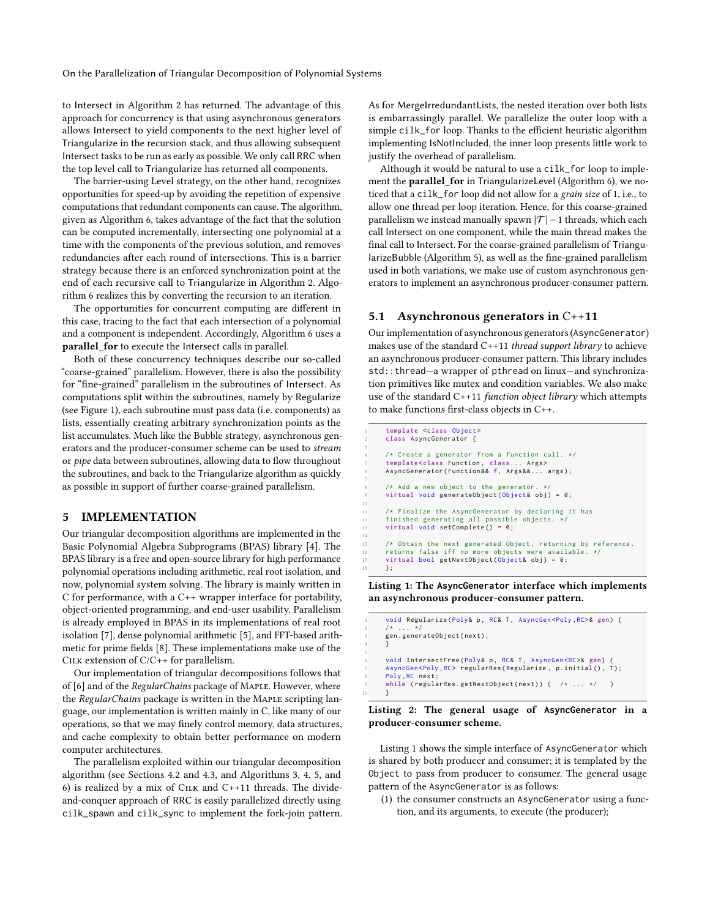On the Parallelization of Triangular Decomposition of Polynomial Systems

to Intersect in Algorithm [2](#page-3-1) has returned. The advantage of this approach for concurrency is that using asynchronous generators allows Intersect to yield components to the next higher level of Triangularize in the recursion stack, and thus allowing subsequent Intersect tasks to be run as early as possible. We only call RRC when the top level call to Triangularize has returned all components.

The barrier-using Level strategy, on the other hand, recognizes opportunities for speed-up by avoiding the repetition of expensive computations that redundant components can cause. The algorithm, given as Algorithm [6,](#page-5-5) takes advantage of the fact that the solution can be computed incrementally, intersecting one polynomial at a time with the components of the previous solution, and removes redundancies after each round of intersections. This is a barrier strategy because there is an enforced synchronization point at the end of each recursive call to Triangularize in Algorithm [2.](#page-3-1) Algorithm [6](#page-5-5) realizes this by converting the recursion to an iteration.

The opportunities for concurrent computing are different in this case, tracing to the fact that each intersection of a polynomial and a component is independent. Accordingly, Algorithm [6](#page-5-5) uses a parallel for to execute the Intersect calls in parallel.

Both of these concurrency techniques describe our so-called "coarse-grained" parallelism. However, there is also the possibility for "fine-grained" parallelism in the subroutines of Intersect. As computations split within the subroutines, namely by Regularize (see Figure [1\)](#page-3-5), each subroutine must pass data (i.e. components) as lists, essentially creating arbitrary synchronization points as the list accumulates. Much like the Bubble strategy, asynchronous generators and the producer-consumer scheme can be used to stream or pipe data between subroutines, allowing data to flow throughout the subroutines, and back to the Triangularize algorithm as quickly as possible in support of further coarse-grained parallelism.

#### <span id="page-6-0"></span>5 IMPLEMENTATION

Our triangular decomposition algorithms are implemented in the Basic Polynomial Algebra Subprograms (BPAS) library [\[4\]](#page-9-16). The BPAS library is a free and open-source library for high performance polynomial operations including arithmetic, real root isolation, and now, polynomial system solving. The library is mainly written in C for performance, with a C++ wrapper interface for portability, object-oriented programming, and end-user usability. Parallelism is already employed in BPAS in its implementations of real root isolation [\[7\]](#page-9-17), dense polynomial arithmetic [\[5\]](#page-9-18), and FFT-based arithmetic for prime fields [\[8\]](#page-9-19). These implementations make use of the CILK extension of  $C/C++$  for parallelism.

Our implementation of triangular decompositions follows that of [\[6\]](#page-9-12) and of the RegularChains package of MAPLE. However, where the RegularChains package is written in the MAPLE scripting language, our implementation is written mainly in C, like many of our operations, so that we may finely control memory, data structures, and cache complexity to obtain better performance on modern computer architectures.

The parallelism exploited within our triangular decomposition algorithm (see Sections [4.2](#page-5-0) and [4.3,](#page-5-1) and Algorithms [3,](#page-5-2) [4,](#page-5-3) [5,](#page-5-4) and [6\)](#page-5-5) is realized by a mix of CILK and  $C++11$  threads. The divideand-conquer approach of RRC is easily parallelized directly using cilk\_spawn and cilk\_sync to implement the fork-join pattern. As for MergeIrredundantLists, the nested iteration over both lists is embarrassingly parallel. We parallelize the outer loop with a simple cilk\_for loop. Thanks to the efficient heuristic algorithm implementing IsNotIncluded, the inner loop presents little work to justify the overhead of parallelism.

Although it would be natural to use a cilk\_for loop to implement the parallel\_for in TriangularizeLevel (Algorithm [6\)](#page-5-5), we noticed that a cilk\_for loop did not allow for a grain size of 1, i.e., to allow one thread per loop iteration. Hence, for this coarse-grained parallelism we instead manually spawn  $|\mathcal{T}|$  – 1 threads, which each call Intersect on one component, while the main thread makes the final call to Intersect. For the coarse-grained parallelism of TriangularizeBubble (Algorithm [5\)](#page-5-4), as well as the fine-grained parallelism used in both variations, we make use of custom asynchronous generators to implement an asynchronous producer-consumer pattern.

# <span id="page-6-3"></span>5.1 Asynchronous generators in C++11

3

7

10

14

5

Our implementation of asynchronous generators (AsyncGenerator) makes use of the standard  $C+11$  thread support library to achieve an asynchronous producer-consumer pattern. This library includes std::thread—a wrapper of pthread on linux—and synchronization primitives like mutex and condition variables. We also make use of the standard C++11 function object library which attempts to make functions first-class objects in C++.

```
1 template <class Object >
       2 class AsyncGenerator {
 4 /* Create a generator from a function call . */
5 template <class Function , class ... Args >
       6 AsyncGenerator ( Function & & f, Args & &... args );
       /* Add a new object to the generator.
       virtual void generateObject (Object& obj) = 0;
11 /* Finalize the AsyncGenerator by declaring it has<br>12 finished generating all possible objects. */finished generating all possible objects.
13 virtual void setComplete () = 0;
15 /* Obtain the next generated Object , returning by reference .
16 returns false iff no more objects were available . */
17 virtual bool getNextObject (Object& obj) = 0;
       18 };
```
Listing 1: The **AsyncGenerator** interface which implements an asynchronous producer-consumer pattern.

```
void Regularize ( Poly & p, RC& T, AsyncGen <Poly, RC > & gen) {
2 /* ... */
3 gen. generateObject ( next );
4 }
     void IntersectFree (Poly& p, RC& T, AsyncGen<RC>& gen)
     AsyncGen<Poly, RC> regularRes (Regularize, p.initial (), T);
     Poly, RC next;
     while (regularRes.getNextObject(next)) { /* ... */ }
     \mathcal{L}
```


Listing [1](#page-6-1) shows the simple interface of AsyncGenerator which is shared by both producer and consumer; it is templated by the Object to pass from producer to consumer. The general usage pattern of the AsyncGenerator is as follows:

(1) the consumer constructs an AsyncGenerator using a function, and its arguments, to execute (the producer);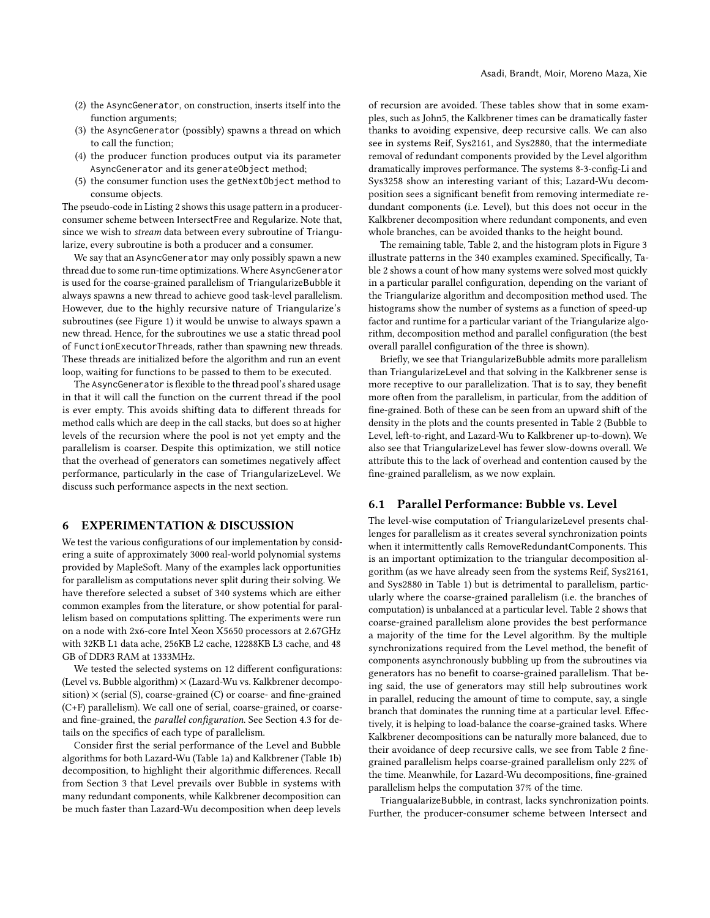- (2) the AsyncGenerator, on construction, inserts itself into the function arguments;
- (3) the AsyncGenerator (possibly) spawns a thread on which to call the function;
- (4) the producer function produces output via its parameter AsyncGenerator and its generateObject method;
- (5) the consumer function uses the getNextObject method to consume objects.

The pseudo-code in Listing [2](#page-6-2) shows this usage pattern in a producerconsumer scheme between IntersectFree and Regularize. Note that, since we wish to stream data between every subroutine of Triangularize, every subroutine is both a producer and a consumer.

We say that an AsyncGenerator may only possibly spawn a new thread due to some run-time optimizations. Where AsyncGenerator is used for the coarse-grained parallelism of TriangularizeBubble it always spawns a new thread to achieve good task-level parallelism. However, due to the highly recursive nature of Triangularize's subroutines (see Figure [1\)](#page-3-5) it would be unwise to always spawn a new thread. Hence, for the subroutines we use a static thread pool of FunctionExecutorThreads, rather than spawning new threads. These threads are initialized before the algorithm and run an event loop, waiting for functions to be passed to them to be executed.

The AsyncGenerator is flexible to the thread pool's shared usage in that it will call the function on the current thread if the pool is ever empty. This avoids shifting data to different threads for method calls which are deep in the call stacks, but does so at higher levels of the recursion where the pool is not yet empty and the parallelism is coarser. Despite this optimization, we still notice that the overhead of generators can sometimes negatively affect performance, particularly in the case of TriangularizeLevel. We discuss such performance aspects in the next section.

# <span id="page-7-0"></span>6 EXPERIMENTATION & DISCUSSION

We test the various configurations of our implementation by considering a suite of approximately 3000 real-world polynomial systems provided by MapleSoft. Many of the examples lack opportunities for parallelism as computations never split during their solving. We have therefore selected a subset of 340 systems which are either common examples from the literature, or show potential for parallelism based on computations splitting. The experiments were run on a node with 2x6-core Intel Xeon X5650 processors at 2.67GHz with 32KB L1 data ache, 256KB L2 cache, 12288KB L3 cache, and 48 GB of DDR3 RAM at 1333MHz.

We tested the selected systems on 12 different configurations: (Level vs. Bubble algorithm)  $\times$  (Lazard-Wu vs. Kalkbrener decomposition)  $\times$  (serial (S), coarse-grained (C) or coarse- and fine-grained (C+F) parallelism). We call one of serial, coarse-grained, or coarseand fine-grained, the parallel configuration. See Section [4.3](#page-5-1) for details on the specifics of each type of parallelism.

Consider first the serial performance of the Level and Bubble algorithms for both Lazard-Wu (Table [1a\)](#page-8-1) and Kalkbrener (Table [1b\)](#page-8-1) decomposition, to highlight their algorithmic differences. Recall from Section [3](#page-3-0) that Level prevails over Bubble in systems with many redundant components, while Kalkbrener decomposition can be much faster than Lazard-Wu decomposition when deep levels of recursion are avoided. These tables show that in some examples, such as John5, the Kalkbrener times can be dramatically faster thanks to avoiding expensive, deep recursive calls. We can also see in systems Reif, Sys2161, and Sys2880, that the intermediate removal of redundant components provided by the Level algorithm dramatically improves performance. The systems 8-3-config-Li and Sys3258 show an interesting variant of this; Lazard-Wu decomposition sees a significant benefit from removing intermediate redundant components (i.e. Level), but this does not occur in the Kalkbrener decomposition where redundant components, and even whole branches, can be avoided thanks to the height bound.

The remaining table, Table [2,](#page-8-2) and the histogram plots in Figure [3](#page-9-20) illustrate patterns in the 340 examples examined. Specifically, Table [2](#page-8-2) shows a count of how many systems were solved most quickly in a particular parallel configuration, depending on the variant of the Triangularize algorithm and decomposition method used. The histograms show the number of systems as a function of speed-up factor and runtime for a particular variant of the Triangularize algorithm, decomposition method and parallel configuration (the best overall parallel configuration of the three is shown).

Briefly, we see that TriangularizeBubble admits more parallelism than TriangularizeLevel and that solving in the Kalkbrener sense is more receptive to our parallelization. That is to say, they benefit more often from the parallelism, in particular, from the addition of fine-grained. Both of these can be seen from an upward shift of the density in the plots and the counts presented in Table [2](#page-8-2) (Bubble to Level, left-to-right, and Lazard-Wu to Kalkbrener up-to-down). We also see that TriangularizeLevel has fewer slow-downs overall. We attribute this to the lack of overhead and contention caused by the fine-grained parallelism, as we now explain.

# 6.1 Parallel Performance: Bubble vs. Level

The level-wise computation of TriangularizeLevel presents challenges for parallelism as it creates several synchronization points when it intermittently calls RemoveRedundantComponents. This is an important optimization to the triangular decomposition algorithm (as we have already seen from the systems Reif, Sys2161, and Sys2880 in Table [1\)](#page-8-1) but is detrimental to parallelism, particularly where the coarse-grained parallelism (i.e. the branches of computation) is unbalanced at a particular level. Table [2](#page-8-2) shows that coarse-grained parallelism alone provides the best performance a majority of the time for the Level algorithm. By the multiple synchronizations required from the Level method, the benefit of components asynchronously bubbling up from the subroutines via generators has no benefit to coarse-grained parallelism. That being said, the use of generators may still help subroutines work in parallel, reducing the amount of time to compute, say, a single branch that dominates the running time at a particular level. Effectively, it is helping to load-balance the coarse-grained tasks. Where Kalkbrener decompositions can be naturally more balanced, due to their avoidance of deep recursive calls, we see from Table [2](#page-8-2) finegrained parallelism helps coarse-grained parallelism only 22% of the time. Meanwhile, for Lazard-Wu decompositions, fine-grained parallelism helps the computation 37% of the time.

TriangualarizeBubble, in contrast, lacks synchronization points. Further, the producer-consumer scheme between Intersect and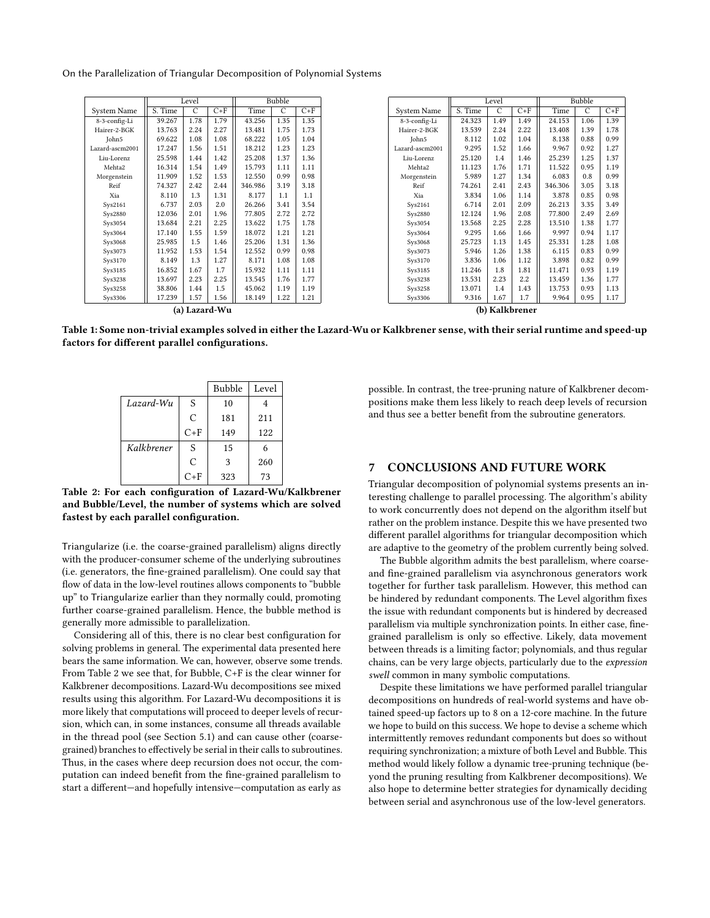<span id="page-8-1"></span>On the Parallelization of Triangular Decomposition of Polynomial Systems

|                    |         | Level |       | Bubble  |      |       |
|--------------------|---------|-------|-------|---------|------|-------|
| <b>System Name</b> | S. Time | C     | $C+F$ | Time    | C    | $C+F$ |
| 8-3-config-Li      | 39.267  | 1.78  | 1.79  | 43.256  | 1.35 | 1.35  |
| Hairer-2-BGK       | 13.763  | 2.24  | 2.27  | 13.481  | 1.75 | 1.73  |
| John5              | 69.622  | 1.08  | 1.08  | 68.222  | 1.05 | 1.04  |
| Lazard-ascm2001    | 17.247  | 1.56  | 1.51  | 18.212  | 1.23 | 1.23  |
| Liu-Lorenz         | 25.598  | 1.44  | 1.42  | 25.208  | 1.37 | 1.36  |
| Mehta <sub>2</sub> | 16.314  | 1.54  | 1.49  | 15.793  | 1.11 | 1.11  |
| Morgenstein        | 11.909  | 1.52  | 1.53  | 12.550  | 0.99 | 0.98  |
| Reif               | 74.327  | 2.42  | 2.44  | 346.986 | 3.19 | 3.18  |
| Xia                | 8.110   | 1.3   | 1.31  | 8.177   | 1.1  | 1.1   |
| Sys2161            | 6.737   | 2.03  | 2.0   | 26.266  | 3.41 | 3.54  |
| Sys2880            | 12.036  | 2.01  | 1.96  | 77.805  | 2.72 | 2.72  |
| Sys3054            | 13.684  | 2.21  | 2.25  | 13.622  | 1.75 | 1.78  |
| Sys3064            | 17.140  | 1.55  | 1.59  | 18.072  | 1.21 | 1.21  |
| Sys3068            | 25.985  | 1.5   | 1.46  | 25.206  | 1.31 | 1.36  |
| Sys3073            | 11.952  | 1.53  | 1.54  | 12.552  | 0.99 | 0.98  |
| Sys3170            | 8.149   | 1.3   | 1.27  | 8.171   | 1.08 | 1.08  |
| Sys3185            | 16.852  | 1.67  | 1.7   | 15.932  | 1.11 | 1.11  |
| Sys3238            | 13.697  | 2.23  | 2.25  | 13.545  | 1.76 | 1.77  |
| Sys3258            | 38.806  | 1.44  | 1.5   | 45.062  | 1.19 | 1.19  |
| Sys3306            | 17.239  | 1.57  | 1.56  | 18.149  | 1.22 | 1.21  |
| (a) Lazard-Wu      |         |       |       |         |      |       |

|                    | Level   |      |       |         |      | <b>Bubble</b> |  |  |  |
|--------------------|---------|------|-------|---------|------|---------------|--|--|--|
| <b>System Name</b> | S. Time | C    | $C+F$ | Time    | C    | $C+F$         |  |  |  |
| 8-3-config-Li      | 24.323  | 1.49 | 1.49  | 24.153  | 1.06 | 1.39          |  |  |  |
| Hairer-2-BGK       | 13.539  | 2.24 | 2.22  | 13.408  | 1.39 | 1.78          |  |  |  |
| John5              | 8.112   | 1.02 | 1.04  | 8.138   | 0.88 | 0.99          |  |  |  |
| Lazard-ascm2001    | 9.295   | 1.52 | 1.66  | 9.967   | 0.92 | 1.27          |  |  |  |
| Liu-Lorenz         | 25.120  | 1.4  | 1.46  | 25.239  | 1.25 | 1.37          |  |  |  |
| Mehta <sub>2</sub> | 11.123  | 1.76 | 1.71  | 11.522  | 0.95 | 1.19          |  |  |  |
| Morgenstein        | 5.989   | 1.27 | 1.34  | 6.083   | 0.8  | 0.99          |  |  |  |
| Reif               | 74.261  | 2.41 | 2.43  | 346.306 | 3.05 | 3.18          |  |  |  |
| <b>Xia</b>         | 3.834   | 1.06 | 1.14  | 3.878   | 0.85 | 0.98          |  |  |  |
| Sys2161            | 6.714   | 2.01 | 2.09  | 26.213  | 3.35 | 3.49          |  |  |  |
| Sys2880            | 12.124  | 1.96 | 2.08  | 77.800  | 2.49 | 2.69          |  |  |  |
| Sys3054            | 13.568  | 2.25 | 2.28  | 13.510  | 1.38 | 1.77          |  |  |  |
| Sys3064            | 9.295   | 1.66 | 1.66  | 9.997   | 0.94 | 1.17          |  |  |  |
| Sys3068            | 25.723  | 1.13 | 1.45  | 25.331  | 1.28 | 1.08          |  |  |  |
| Sys3073            | 5.946   | 1.26 | 1.38  | 6.115   | 0.83 | 0.99          |  |  |  |
| Sys3170            | 3.836   | 1.06 | 1.12  | 3.898   | 0.82 | 0.99          |  |  |  |
| Sys3185            | 11.246  | 1.8  | 1.81  | 11.471  | 0.93 | 1.19          |  |  |  |
| Sys3238            | 13.531  | 2.23 | 2.2   | 13.459  | 1.36 | 1.77          |  |  |  |
| Sys3258            | 13.071  | 1.4  | 1.43  | 13.753  | 0.93 | 1.13          |  |  |  |
| Sys3306            | 9.316   | 1.67 | 1.7   | 9.964   | 0.95 | 1.17          |  |  |  |
| (b) Kalkbrener     |         |      |       |         |      |               |  |  |  |

<span id="page-8-2"></span>Table 1: Some non-trivial examples solved in either the Lazard-Wu or Kalkbrener sense, with their serial runtime and speed-up factors for different parallel configurations.

|             |       | <b>Bubble</b> | Level |
|-------------|-------|---------------|-------|
| $Lazard-Wu$ | S     | 10            |       |
|             | C     | 181           | 211   |
|             | $C+F$ | 149           | 122   |
| Kalkbrener  | S     | 15            |       |
|             | C     | 3             | 260   |
|             | $C+F$ | 323           | 73    |

Table 2: For each configuration of Lazard-Wu/Kalkbrener and Bubble/Level, the number of systems which are solved fastest by each parallel configuration.

Triangularize (i.e. the coarse-grained parallelism) aligns directly with the producer-consumer scheme of the underlying subroutines (i.e. generators, the fine-grained parallelism). One could say that flow of data in the low-level routines allows components to "bubble up" to Triangularize earlier than they normally could, promoting further coarse-grained parallelism. Hence, the bubble method is generally more admissible to parallelization.

Considering all of this, there is no clear best configuration for solving problems in general. The experimental data presented here bears the same information. We can, however, observe some trends. From Table [2](#page-8-2) we see that, for Bubble, C+F is the clear winner for Kalkbrener decompositions. Lazard-Wu decompositions see mixed results using this algorithm. For Lazard-Wu decompositions it is more likely that computations will proceed to deeper levels of recursion, which can, in some instances, consume all threads available in the thread pool (see Section [5.1\)](#page-6-3) and can cause other (coarsegrained) branches to effectively be serial in their calls to subroutines. Thus, in the cases where deep recursion does not occur, the computation can indeed benefit from the fine-grained parallelism to start a different—and hopefully intensive—computation as early as

possible. In contrast, the tree-pruning nature of Kalkbrener decompositions make them less likely to reach deep levels of recursion and thus see a better benefit from the subroutine generators.

# <span id="page-8-0"></span>7 CONCLUSIONS AND FUTURE WORK

Triangular decomposition of polynomial systems presents an interesting challenge to parallel processing. The algorithm's ability to work concurrently does not depend on the algorithm itself but rather on the problem instance. Despite this we have presented two different parallel algorithms for triangular decomposition which are adaptive to the geometry of the problem currently being solved.

The Bubble algorithm admits the best parallelism, where coarseand fine-grained parallelism via asynchronous generators work together for further task parallelism. However, this method can be hindered by redundant components. The Level algorithm fixes the issue with redundant components but is hindered by decreased parallelism via multiple synchronization points. In either case, finegrained parallelism is only so effective. Likely, data movement between threads is a limiting factor; polynomials, and thus regular chains, can be very large objects, particularly due to the expression swell common in many symbolic computations.

Despite these limitations we have performed parallel triangular decompositions on hundreds of real-world systems and have obtained speed-up factors up to 8 on a 12-core machine. In the future we hope to build on this success. We hope to devise a scheme which intermittently removes redundant components but does so without requiring synchronization; a mixture of both Level and Bubble. This method would likely follow a dynamic tree-pruning technique (beyond the pruning resulting from Kalkbrener decompositions). We also hope to determine better strategies for dynamically deciding between serial and asynchronous use of the low-level generators.